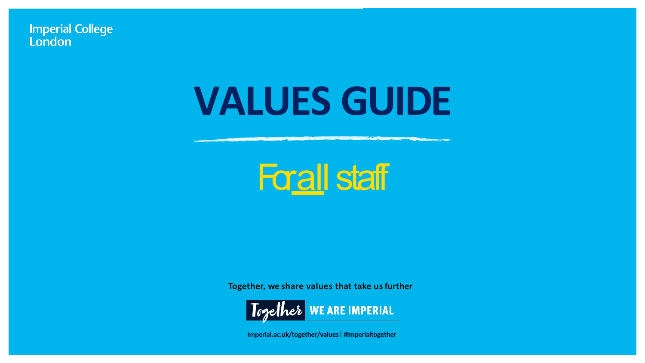**Imperial College** London

## **VALUES GUIDE**



**Together, we share values that take usfurther**



**imperial.ac.uk/together/values** | **#imperialtogether**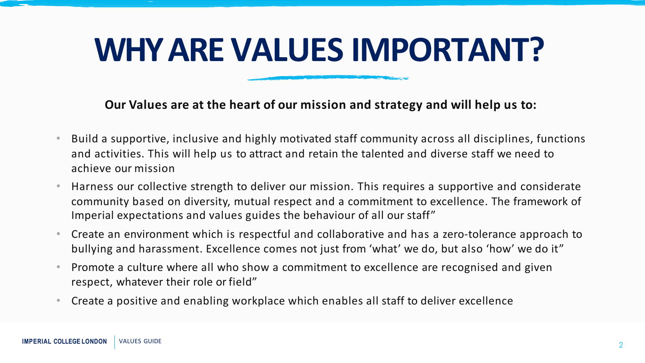#### **WHY ARE VALUES IMPORTANT?**

**Our Values are at the heart of our mission and strategy and will help us to:**

- Build a supportive, inclusive and highly motivated staff community across all disciplines, functions and activities. This will help us to attract and retain the talented and diverse staff we need to achieve our mission
- Harness our collective strength to deliver our mission. This requires a supportive and considerate community based on diversity, mutual respect and a commitment to excellence. The framework of Imperial expectations and values guides the behaviour of all our staff"
- Create an environment which is respectful and collaborative and has a zero-tolerance approach to bullying and harassment. Excellence comes not just from 'what' we do, but also 'how' we do it"
- Promote a culture where all who show a commitment to excellence are recognised and given respect, whatever their role or field"
- Create a positive and enabling workplace which enables all staff to deliver excellence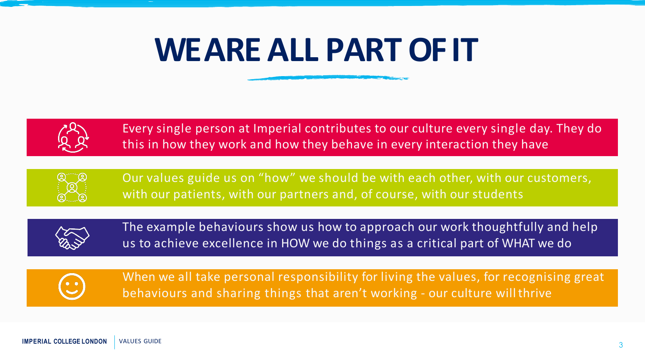#### **WE ARE ALL PART OFIT**



Every single person at Imperial contributes to our culture every single day. They do this in how they work and how they behave in every interaction they have



Our values guide us on "how" we should be with each other, with our customers, with our patients, with our partners and, of course, with our students



The example behaviours show us how to approach our work thoughtfully and help us to achieve excellence in HOW we do things as a critical part of WHAT we do



When we all take personal responsibility for living the values, for recognising great behaviours and sharing things that aren't working - our culture willthrive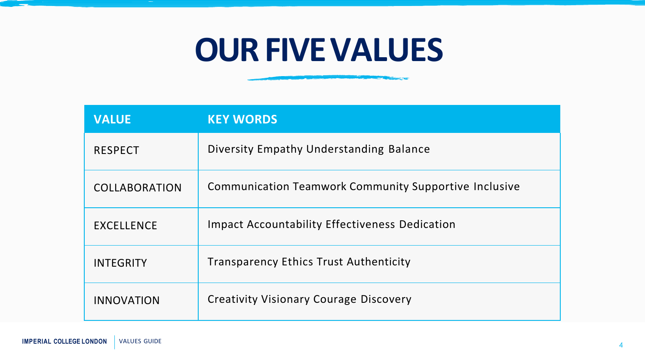#### **OUR FIVEVALUES**

**COMPANY AND INCOME.** 

| <b>VALUE</b>         | <b>KEY WORDS</b>                                             |
|----------------------|--------------------------------------------------------------|
| <b>RESPECT</b>       | Diversity Empathy Understanding Balance                      |
| <b>COLLABORATION</b> | <b>Communication Teamwork Community Supportive Inclusive</b> |
| <b>EXCELLENCE</b>    | <b>Impact Accountability Effectiveness Dedication</b>        |
| <b>INTEGRITY</b>     | <b>Transparency Ethics Trust Authenticity</b>                |
| <b>INNOVATION</b>    | <b>Creativity Visionary Courage Discovery</b>                |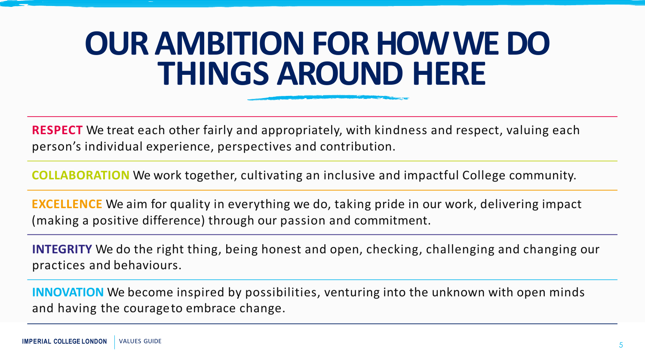#### **OUR AMBITION FOR HOW WEDO THINGS AROUND HERE**

**RESPECT** We treat each other fairly and appropriately, with kindness and respect, valuing each person's individual experience, perspectives and contribution.

**COLLABORATION** We work together, cultivating an inclusive and impactful College community.

**EXCELLENCE** We aim for quality in everything we do, taking pride in our work, delivering impact (making a positive difference) through our passion and commitment.

**INTEGRITY** We do the right thing, being honest and open, checking, challenging and changing our practices and behaviours.

**INNOVATION** We become inspired by possibilities, venturing into the unknown with open minds and having the courageto embrace change.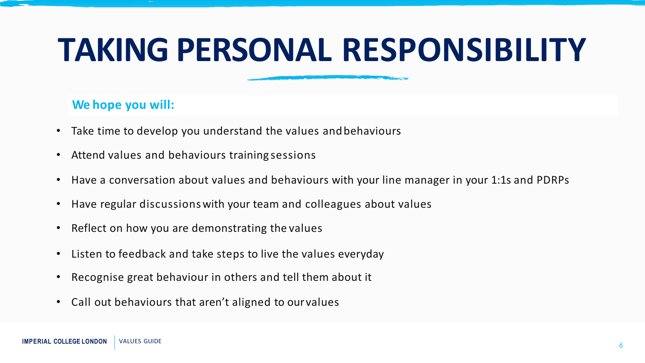#### **TAKING PERSONAL RESPONSIBILITY**

#### **We hope you will:**

- Take time to develop you understand the values andbehaviours
- Attend values and behaviours training sessions
- Have a conversation about values and behaviours with your line manager in your 1:1s and PDRPs
- Have regular discussionswith your team and colleagues about values
- Reflect on how you are demonstrating the values
- Listen to feedback and take steps to live the values everyday
- Recognise great behaviour in others and tell them about it
- Call out behaviours that aren't aligned to ourvalues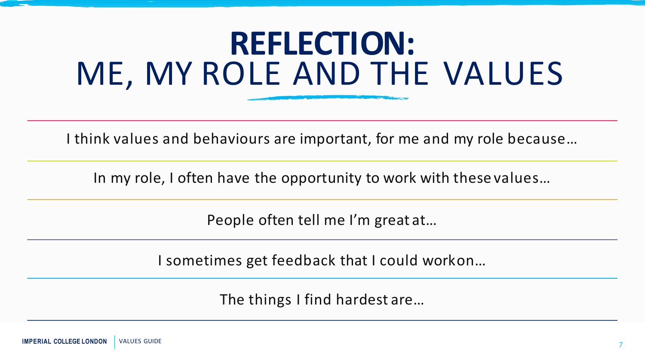#### **REFLECTION:** ME, MY ROLE AND THE VALUES

I think values and behaviours are important, for me and my role because…

In my role, I often have the opportunity to work with these values…

People often tell me I'm great at…

I sometimes get feedback that I could workon…

The things I find hardest are…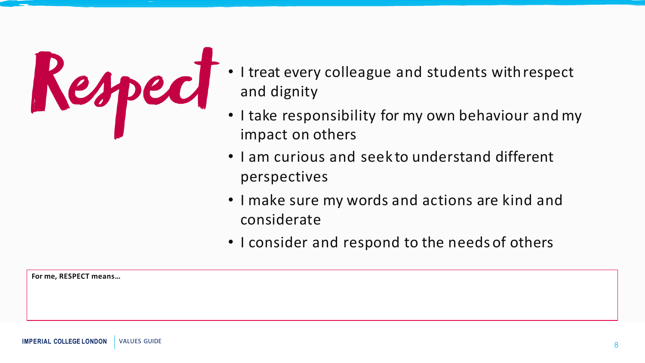

- I treat every colleague and students withrespect and dignity
- I take responsibility for my own behaviour and my impact on others
- I am curious and seek to understand different perspectives
- I make sure my words and actions are kind and considerate
- I consider and respond to the needs of others

**For me, RESPECT means…**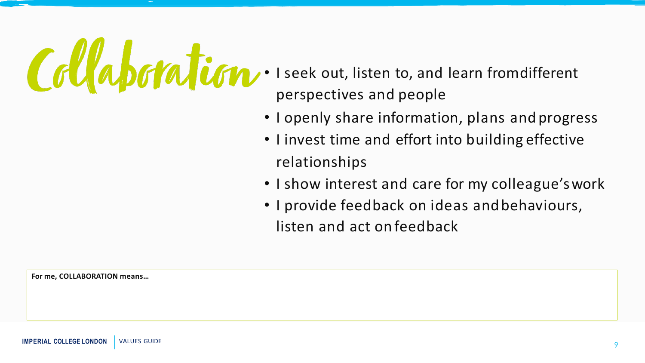

- perspectives and people
- I openly share information, plans and progress
- I invest time and effort into building effective relationships
- I show interest and care for my colleague'swork
- I provide feedback on ideas andbehaviours, listen and act on feedback

**For me, COLLABORATION means…**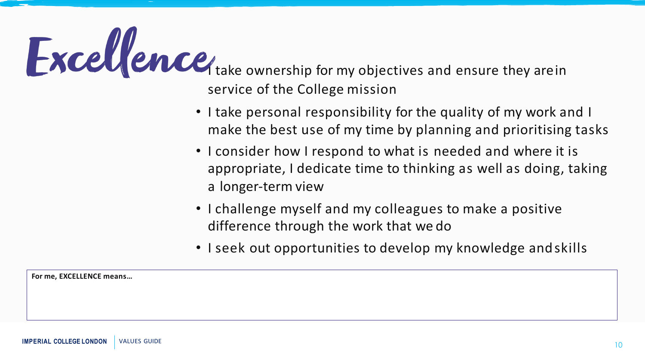

service of the College mission

- I take personal responsibility for the quality of my work and I make the best use of my time by planning and prioritising tasks
- I consider how I respond to what is needed and where it is appropriate, I dedicate time to thinking as well as doing, taking a longer-term view
- I challenge myself and my colleagues to make a positive difference through the work that we do
- I seek out opportunities to develop my knowledge andskills

**For me, EXCELLENCE means…**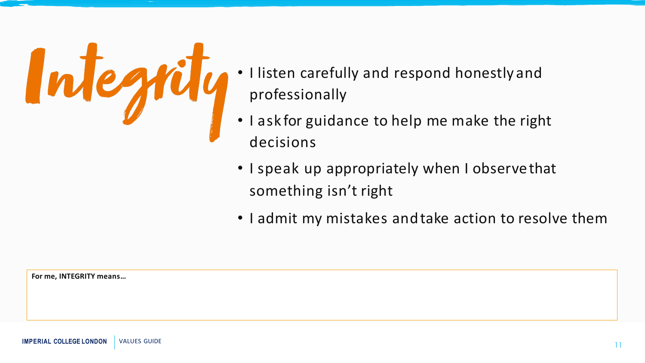

- professionally
- I ask for guidance to help me make the right decisions
- I speak up appropriately when I observethat something isn't right
- I admit my mistakes andtake action to resolve them

**For me, INTEGRITY means…**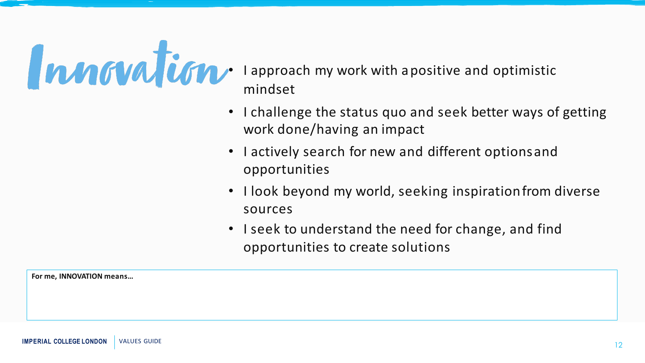

- mindset
- I challenge the status quo and seek better ways of getting work done/having an impact
- I actively search for new and different optionsand opportunities
- I look beyond my world, seeking inspiration from diverse sources
- I seek to understand the need for change, and find opportunities to create solutions

**For me, INNOVATION means…**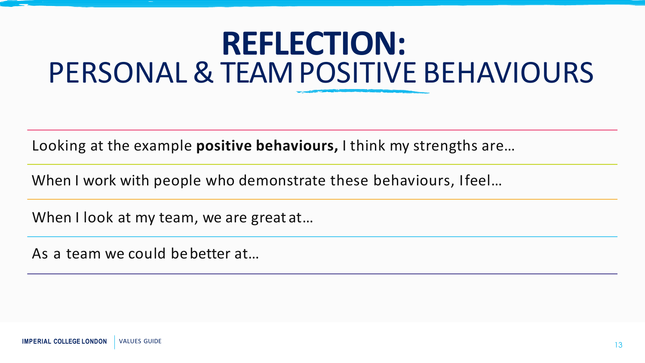#### **REFLECTION:** PERSONAL&TEAMPOSITIVE BEHAVIOURS

Looking at the example **positive behaviours,** I think my strengths are…

When I work with people who demonstrate these behaviours, Ifeel...

When I look at my team, we are great at...

As a team we could bebetter at…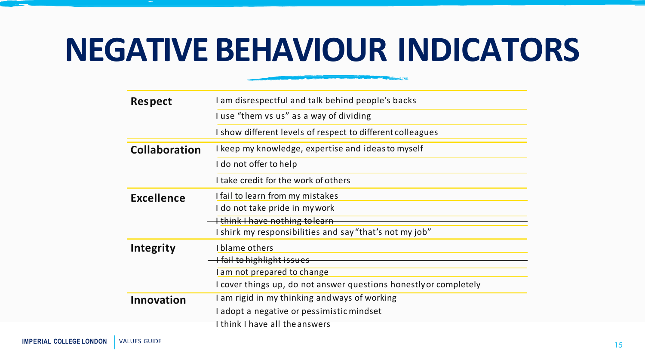#### **NEGATIVE BEHAVIOUR INDICATORS**

**CONTRACTOR** CONTRACTOR

| <b>Respect</b>       | I am disrespectful and talk behind people's backs                 |
|----------------------|-------------------------------------------------------------------|
|                      | I use "them vs us" as a way of dividing                           |
|                      | I show different levels of respect to different colleagues        |
| <b>Collaboration</b> | I keep my knowledge, expertise and ideas to myself                |
|                      | I do not offer to help                                            |
|                      | I take credit for the work of others                              |
| <b>Excellence</b>    | I fail to learn from my mistakes                                  |
|                      | I do not take pride in mywork                                     |
|                      | <b>I</b> think I have nothing to learn                            |
|                      | I shirk my responsibilities and say "that's not my job"           |
| <b>Integrity</b>     | I blame others                                                    |
|                      | <del>I fail to highlight issues</del>                             |
|                      | I am not prepared to change                                       |
|                      | I cover things up, do not answer questions honestly or completely |
| <b>Innovation</b>    | I am rigid in my thinking and ways of working                     |
|                      | I adopt a negative or pessimistic mindset                         |
|                      | I think I have all the answers                                    |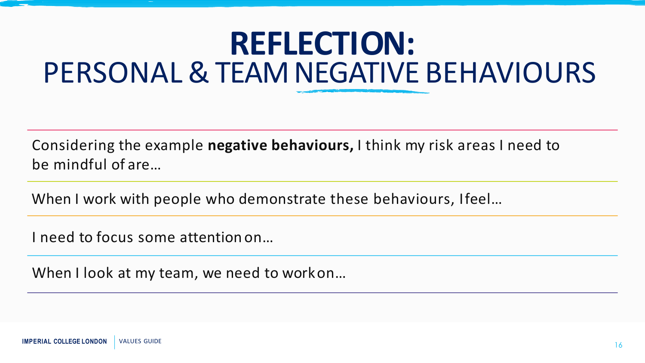#### **REFLECTION:** PERSONAL&TEAMNEGATIVE BEHAVIOURS

Considering the example **negative behaviours,** I think my risk areas I need to be mindful of are…

When I work with people who demonstrate these behaviours, Ifeel...

I need to focus some attention on…

When I look at my team, we need to workon...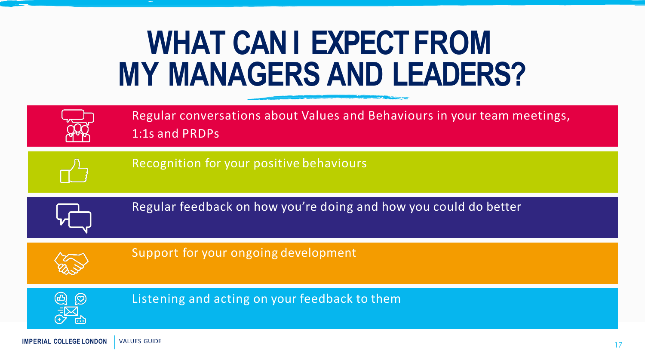#### **WHAT CAN I EXPECT FROM MY MANAGERS AND LEADERS?**

| Regular conversations about Values and Behaviours in your team meetings,<br>1:1s and PRDPs |
|--------------------------------------------------------------------------------------------|
| Recognition for your positive behaviours                                                   |
| Regular feedback on how you're doing and how you could do better                           |
| Support for your ongoing development                                                       |
| Listening and acting on your feedback to them                                              |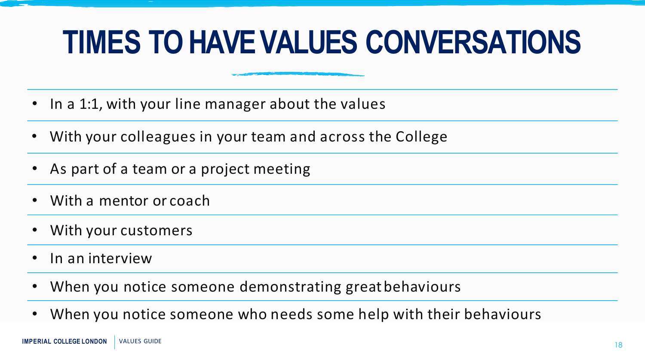#### **TIMES TO HAVE VALUES CONVERSATIONS**

- In a 1:1, with your line manager about the values
- With your colleagues in your team and across the College
- As part of a team or a project meeting
- With a mentor or coach
- With your customers
- In an interview
- When you notice someone demonstrating greatbehaviours
- When you notice someone who needs some help with their behaviours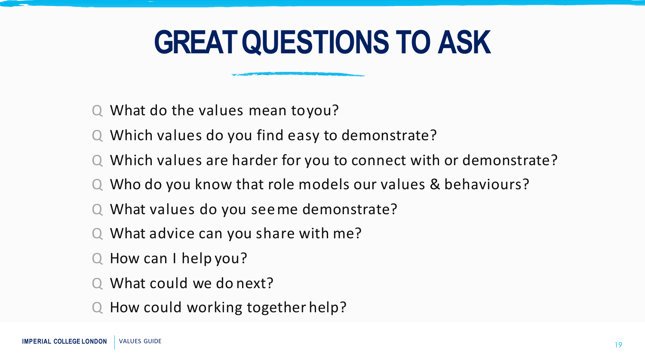#### **GREAT QUESTIONS TO ASK**

- Q What do the values mean toyou?
- Q Which values do you find easy to demonstrate?
- Q Which values are harder for you to connect with or demonstrate?
- Q Who do you know that role models our values & behaviours?
- Q What values do you seeme demonstrate?
- Q What advice can you share with me?
- Q How can I help you?
- What could we do next?
- Q How could working together help?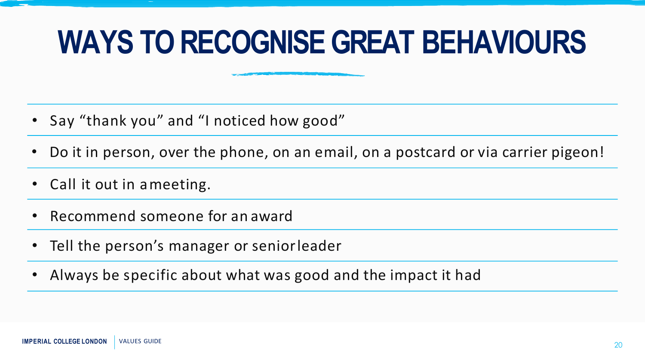#### **WAYS TO RECOGNISE GREAT BEHAVIOURS**

- Say "thank you" and "I noticed how good"
- Do it in person, over the phone, on an email, on a postcard or via carrier pigeon!
- Call it out in ameeting.
- Recommend someone for an award
- Tell the person's manager or seniorleader
- Always be specific about what was good and the impact it had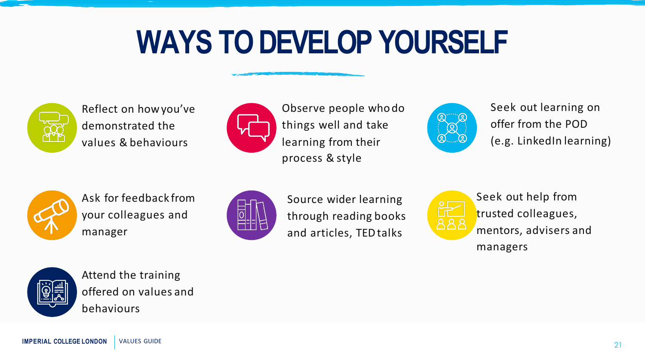#### **WAYS TO DEVELOP YOURSELF**



Reflect on howyou've demonstrated the values & behaviours



Observe people whodo things well and take learning from their process & style



Seek out learning on offer from the POD (e.g. LinkedIn learning)



Ask for feedback from your colleagues and manager



Source wider learning through reading books and articles, TEDtalks



Seek out help from trusted colleagues, mentors, advisers and managers



Attend the training offered on values and behaviours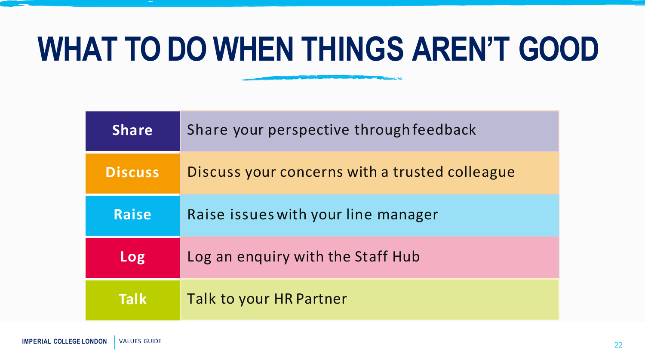### **WHAT TO DO WHEN THINGS AREN'T GOOD**

**START OF BUILDING OF BUILDING** 

| <b>Share</b>   | Share your perspective through feedback        |
|----------------|------------------------------------------------|
| <b>Discuss</b> | Discuss your concerns with a trusted colleague |
| <b>Raise</b>   | Raise issues with your line manager            |
| Log            | Log an enquiry with the Staff Hub              |
| <b>Talk</b>    | Talk to your HR Partner                        |